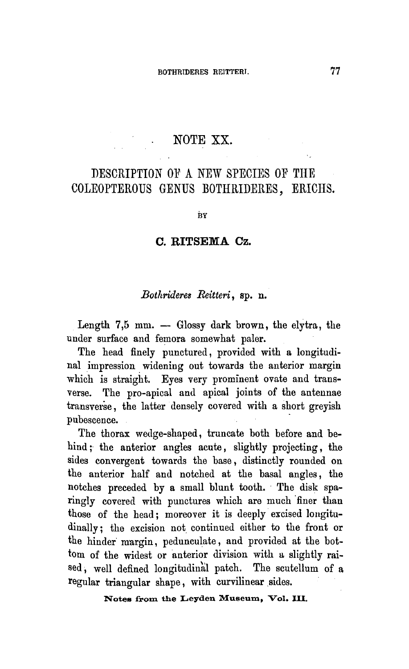## NOTE XX.

## DESCRIPTION OF A NEW SPECIES OF THE Coleopterous genus Bothrideres, Erichs

i<sub>N</sub>

## C. RITSEMA Cz.

## Bothrideres Reitteri, sp. n.

Length 7,5 mm. — Glossy dark brown, the elytra, the under surface and femora somewhat paler.

The head finely punctured, provided with <sup>a</sup> longitudinal impression widening out towards the anterior margin which is straight. Eyes very prominent ovate and transverse. The pro-apical and apical joints of the antennae transverse, the latter densely covered with <sup>a</sup> short greyish pubescence.

The thorax wedge-shaped, truncate both before and behind ; the anterior angles acute, slightly projecting, the sides convergent towards the base, distinctly rounded on the anterior half and notched at the basal angles, the notches preceded by <sup>a</sup> small blunt tooth. The disk sparingly covered with punctures which are much finer than those of the head; moreover it is deeply excised longitudinally; the excision not continued either to the front or the hinder margin, pedunculate, and provided at the bottom of the widest or anterior division with <sup>a</sup> slightly raised, well defined longitudinal patch. The scutellum of a regular triangular shape, with curvilinear sides.

Notes from the Leyden Museum, Vol. III.